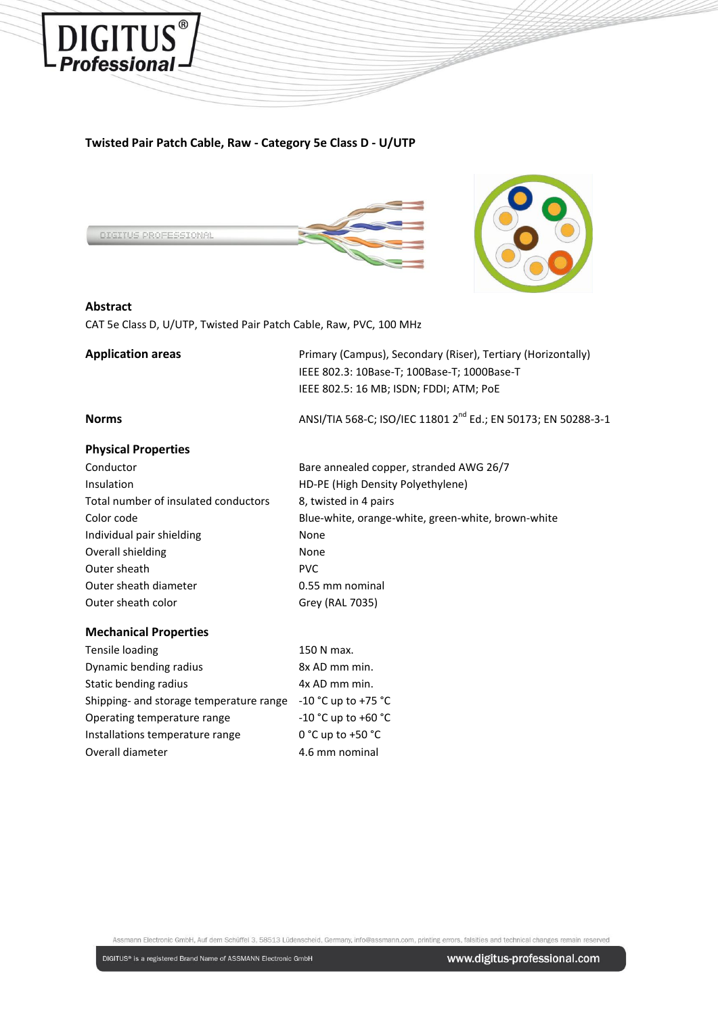

## **Twisted Pair Patch Cable, Raw - Category 5e Class D - U/UTP**



### **Abstract**

CAT 5e Class D, U/UTP, Twisted Pair Patch Cable, Raw, PVC, 100 MHz

| <b>Application areas</b>             | Primary (Campus), Secondary (Riser), Tertiary (Horizontally)<br>IEEE 802.3: 10Base-T; 100Base-T; 1000Base-T<br>IEEE 802.5: 16 MB; ISDN; FDDI; ATM; PoE |
|--------------------------------------|--------------------------------------------------------------------------------------------------------------------------------------------------------|
| <b>Norms</b>                         | ANSI/TIA 568-C; ISO/IEC 11801 2 <sup>nd</sup> Ed.; EN 50173; EN 50288-3-1                                                                              |
| <b>Physical Properties</b>           |                                                                                                                                                        |
| Conductor                            | Bare annealed copper, stranded AWG 26/7                                                                                                                |
| Insulation                           | HD-PE (High Density Polyethylene)                                                                                                                      |
| Total number of insulated conductors | 8, twisted in 4 pairs                                                                                                                                  |
| Color code                           | Blue-white, orange-white, green-white, brown-white                                                                                                     |
| Individual pair shielding            | None                                                                                                                                                   |
| Overall shielding                    | None                                                                                                                                                   |
| Outer sheath                         | <b>PVC</b>                                                                                                                                             |
| Outer sheath diameter                | 0.55 mm nominal                                                                                                                                        |
| Outer sheath color                   | Grey (RAL 7035)                                                                                                                                        |
| <b>Mechanical Properties</b>         |                                                                                                                                                        |
| Tensile loading                      | 150 N max.                                                                                                                                             |

| Tensile loading                         | 150 N max.            |
|-----------------------------------------|-----------------------|
| Dynamic bending radius                  | 8x AD mm min.         |
| Static bending radius                   | 4x AD mm min.         |
| Shipping- and storage temperature range | -10 °C up to +75 °C   |
| Operating temperature range             | -10 °C up to +60 °C   |
| Installations temperature range         | $0 °C$ up to +50 $°C$ |
| Overall diameter                        | 4.6 mm nominal        |
|                                         |                       |

Assmann Electronic GmbH, Auf dem Schüffel 3, 58513 Lüdenscheid, Germany, info@assmann.com, printing errors, falsities and technical changes remain reserved